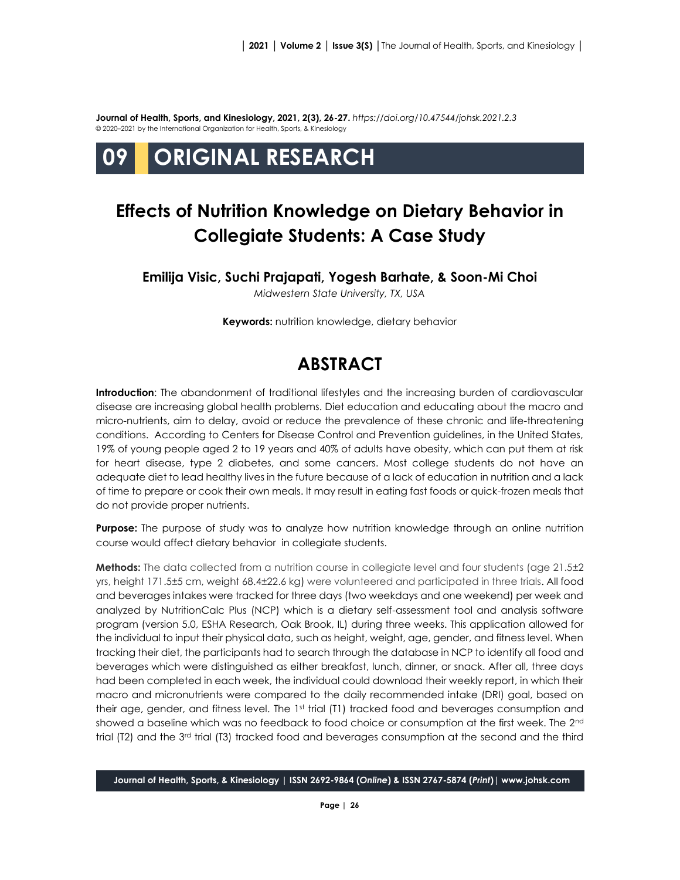**Journal of Health, Sports, and Kinesiology, 2021, 2(3), 26-27.** *<https://doi.org/10.47544/johsk.2021.2.3>* © 2020–2021 by the International Organization for Health, Sports, & Kinesiology

# **09 ORIGINAL RESEARCH**

# **Effects of Nutrition Knowledge on Dietary Behavior in Collegiate Students: A Case Study**

**Emilija Visic, Suchi Prajapati, Yogesh Barhate, & Soon-Mi Choi**

*Midwestern State University, TX, USA*

**Keywords:** nutrition knowledge, dietary behavior

## **ABSTRACT**

**Introduction**: The abandonment of traditional lifestyles and the increasing burden of cardiovascular disease are increasing global health problems. Diet education and educating about the macro and micro-nutrients, aim to delay, avoid or reduce the prevalence of these chronic and life-threatening conditions. According to Centers for Disease Control and Prevention guidelines, in the United States, 19% of young people aged 2 to 19 years and 40% of adults have obesity, which can put them at risk for heart disease, type 2 diabetes, and some cancers. Most college students do not have an adequate diet to lead healthy lives in the future because of a lack of education in nutrition and a lack of time to prepare or cook their own meals. It may result in eating fast foods or quick-frozen meals that do not provide proper nutrients.

**Purpose:** The purpose of study was to analyze how nutrition knowledge through an online nutrition course would affect dietary behavior in collegiate students.

**Methods:** The data collected from a nutrition course in collegiate level and four students (age 21.5±2 yrs, height 171.5±5 cm, weight 68.4±22.6 kg) were volunteered and participated in three trials. All food and beverages intakes were tracked for three days (two weekdays and one weekend) per week and analyzed by NutritionCalc Plus (NCP) which is a dietary self-assessment tool and analysis software program (version 5.0, ESHA Research, Oak Brook, IL) during three weeks. This application allowed for the individual to input their physical data, such as height, weight, age, gender, and fitness level. When tracking their diet, the participants had to search through the database in NCP to identify all food and beverages which were distinguished as either breakfast, lunch, dinner, or snack. After all, three days had been completed in each week, the individual could download their weekly report, in which their macro and micronutrients were compared to the daily recommended intake (DRI) goal, based on their age, gender, and fitness level. The 1st trial (T1) tracked food and beverages consumption and showed a baseline which was no feedback to food choice or consumption at the first week. The 2<sup>nd</sup> trial (T2) and the  $3<sup>rd</sup>$  trial (T3) tracked food and beverages consumption at the second and the third